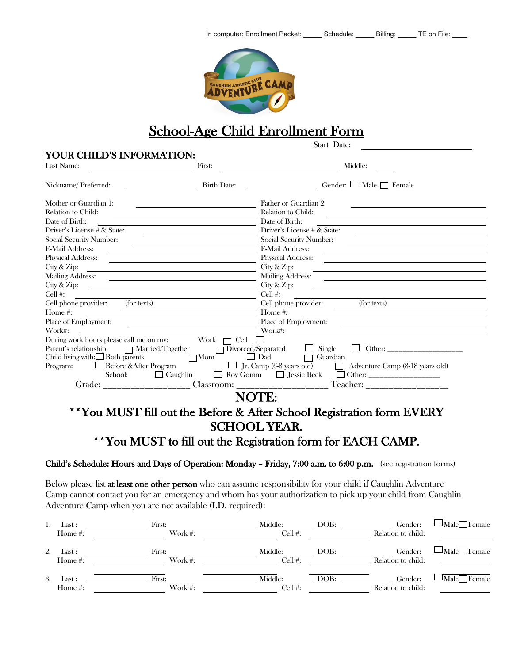

# School-Age Child Enrollment Form

| Last Name:                                                                                                     | First:             | Middle:                                                                                                                                                                                                                                                 |
|----------------------------------------------------------------------------------------------------------------|--------------------|---------------------------------------------------------------------------------------------------------------------------------------------------------------------------------------------------------------------------------------------------------|
| Nickname/Preferred:                                                                                            | <b>Birth Date:</b> | Gender: $\Box$ Male $\Box$ Female                                                                                                                                                                                                                       |
| Mother or Guardian 1:                                                                                          |                    | Father or Guardian 2:                                                                                                                                                                                                                                   |
| Relation to Child:                                                                                             |                    | Relation to Child:                                                                                                                                                                                                                                      |
| Date of Birth:                                                                                                 |                    | Date of Birth:                                                                                                                                                                                                                                          |
| Driver's License # & State:                                                                                    |                    | Driver's License # & State:                                                                                                                                                                                                                             |
| <b>Social Security Number:</b>                                                                                 |                    | Social Security Number:                                                                                                                                                                                                                                 |
| E-Mail Address:                                                                                                |                    | <b>E-Mail Address:</b><br>the control of the control of the control of the control of the control of the control of the control of the control of the control of the control of the control of the control of the control of the control of the control |
| <b>Physical Address:</b>                                                                                       |                    | <b>Physical Address:</b>                                                                                                                                                                                                                                |
| City & Zip:                                                                                                    | City & Zip:        |                                                                                                                                                                                                                                                         |
| <b>Mailing Address:</b>                                                                                        |                    | <b>Mailing Address:</b>                                                                                                                                                                                                                                 |
| City & Zip:                                                                                                    |                    | City & Zip:                                                                                                                                                                                                                                             |
| Cell #:                                                                                                        |                    | Cell $#$ :                                                                                                                                                                                                                                              |
| Cell phone provider:<br>(for texts)                                                                            |                    | Cell phone provider:<br>(for texts)                                                                                                                                                                                                                     |
| Home #:                                                                                                        |                    | Home #:                                                                                                                                                                                                                                                 |
| Place of Employment:                                                                                           |                    | Place of Employment:                                                                                                                                                                                                                                    |
| Work#:                                                                                                         |                    | Work#:                                                                                                                                                                                                                                                  |
| During work hours please call me on my: $Work \tQ[Q]$<br>Parent's relationship: $\Box$ Married/Together $\Box$ |                    | $\overline{D}$ ivorced/Separated $\Box$ Single                                                                                                                                                                                                          |
| Child living with: $\Box$ Both parents                                                                         | $\Box$ Mom         | $\Box$ Dad<br>$\Box$ Guardian                                                                                                                                                                                                                           |
| $\Gamma$ Program: $\Box$ Before & After Program                                                                |                    | $\Box$ Jr. Camp (6-8 years old) $\Box$ Adventure Camp (8-18 years old)                                                                                                                                                                                  |
| School:                                                                                                        | $\Box$ Caughlin    |                                                                                                                                                                                                                                                         |
| Grade:                                                                                                         |                    | Teacher: ___________________<br>Classroom: _____________________                                                                                                                                                                                        |
|                                                                                                                |                    | NOTE:                                                                                                                                                                                                                                                   |
|                                                                                                                |                    | **You MUST fill out the Before & After School Registration form EVERY                                                                                                                                                                                   |
|                                                                                                                |                    | <b>SCHOOL YEAR.</b>                                                                                                                                                                                                                                     |
|                                                                                                                |                    |                                                                                                                                                                                                                                                         |
|                                                                                                                |                    | **You MUST to fill out the Registration form for EACH CAMP.                                                                                                                                                                                             |

Child's Schedule: Hours and Days of Operation: Monday – Friday, 7:00 a.m. to 6:00 p.m. (see registration forms)

Below please list **at least one other person** who can assume responsibility for your child if Caughlin Adventure Camp cannot contact you for an emergency and whom has your authorization to pick up your child from Caughlin Adventure Camp when you are not available (I.D. required):

|    | Last :     | First:  | Middle: | DOB: | Gender:            | $\blacksquare$ Male $\blacksquare$ Female |
|----|------------|---------|---------|------|--------------------|-------------------------------------------|
|    | Home $#$ : | Work #: | Cell #: |      | Relation to child: |                                           |
| 2. | Last :     | First:  | Middle: | DOB: | Gender:            | $\Box$ Male $\Box$ Female                 |
|    | Home #:    | Work #: | Cell #: |      | Relation to child: |                                           |
| 3. | Last :     | First:  | Middle: | DOB: | Gender:            | Male Female                               |
|    | Home #:    | Work #: | Cell #: |      | Relation to child: |                                           |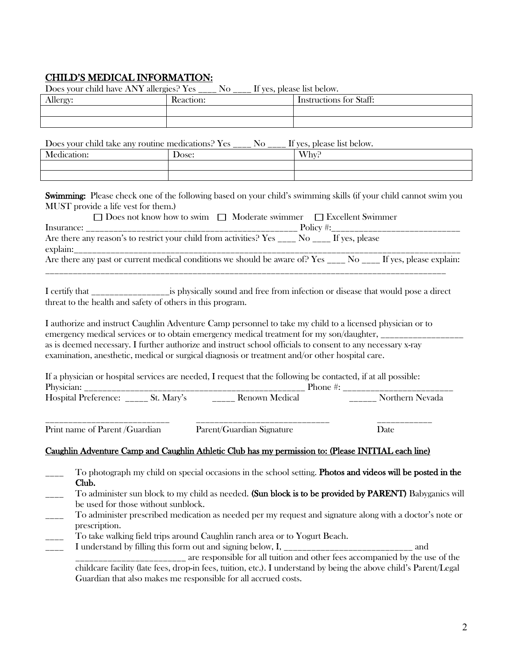# CHILD'S MEDICAL INFORMATION:

|                                                                                                                                                                                                                                                                                                                                                                                                                                                                                                                                                                 | Does your child have ANY allergies? Yes ____ No ____ If yes, please list below. |                                                                                                                                                                                                                                                                                                                                  |  |  |
|-----------------------------------------------------------------------------------------------------------------------------------------------------------------------------------------------------------------------------------------------------------------------------------------------------------------------------------------------------------------------------------------------------------------------------------------------------------------------------------------------------------------------------------------------------------------|---------------------------------------------------------------------------------|----------------------------------------------------------------------------------------------------------------------------------------------------------------------------------------------------------------------------------------------------------------------------------------------------------------------------------|--|--|
| Allergy:                                                                                                                                                                                                                                                                                                                                                                                                                                                                                                                                                        | Reaction:                                                                       | Instructions for Staff:                                                                                                                                                                                                                                                                                                          |  |  |
|                                                                                                                                                                                                                                                                                                                                                                                                                                                                                                                                                                 |                                                                                 |                                                                                                                                                                                                                                                                                                                                  |  |  |
|                                                                                                                                                                                                                                                                                                                                                                                                                                                                                                                                                                 |                                                                                 |                                                                                                                                                                                                                                                                                                                                  |  |  |
|                                                                                                                                                                                                                                                                                                                                                                                                                                                                                                                                                                 |                                                                                 | Does your child take any routine medications? Yes ____ No ____ If yes, please list below.                                                                                                                                                                                                                                        |  |  |
| Medication:                                                                                                                                                                                                                                                                                                                                                                                                                                                                                                                                                     | Dose:                                                                           | Why?                                                                                                                                                                                                                                                                                                                             |  |  |
|                                                                                                                                                                                                                                                                                                                                                                                                                                                                                                                                                                 |                                                                                 |                                                                                                                                                                                                                                                                                                                                  |  |  |
|                                                                                                                                                                                                                                                                                                                                                                                                                                                                                                                                                                 |                                                                                 |                                                                                                                                                                                                                                                                                                                                  |  |  |
|                                                                                                                                                                                                                                                                                                                                                                                                                                                                                                                                                                 | MUST provide a life vest for them.)                                             | Swimming: Please check one of the following based on your child's swimming skills (if your child cannot swim you<br>$\Box$ Does not know how to swim $\Box$ Moderate swimmer $\Box$ Excellent Swimmer                                                                                                                            |  |  |
|                                                                                                                                                                                                                                                                                                                                                                                                                                                                                                                                                                 |                                                                                 |                                                                                                                                                                                                                                                                                                                                  |  |  |
|                                                                                                                                                                                                                                                                                                                                                                                                                                                                                                                                                                 |                                                                                 | Are there any past or current medical conditions we should be aware of? Yes ____ No ____ If yes, please explain:                                                                                                                                                                                                                 |  |  |
|                                                                                                                                                                                                                                                                                                                                                                                                                                                                                                                                                                 |                                                                                 |                                                                                                                                                                                                                                                                                                                                  |  |  |
| I authorize and instruct Caughlin Adventure Camp personnel to take my child to a licensed physician or to<br>emergency medical services or to obtain emergency medical treatment for my son/daughter, _____________________<br>as is deemed necessary. I further authorize and instruct school officials to consent to any necessary x-ray<br>examination, anesthetic, medical or surgical diagnosis or treatment and/or other hospital care.<br>If a physician or hospital services are needed, I request that the following be contacted, if at all possible: |                                                                                 |                                                                                                                                                                                                                                                                                                                                  |  |  |
|                                                                                                                                                                                                                                                                                                                                                                                                                                                                                                                                                                 |                                                                                 |                                                                                                                                                                                                                                                                                                                                  |  |  |
|                                                                                                                                                                                                                                                                                                                                                                                                                                                                                                                                                                 | Print name of Parent /Guardian                                                  | Parent/Guardian Signature<br>Date                                                                                                                                                                                                                                                                                                |  |  |
|                                                                                                                                                                                                                                                                                                                                                                                                                                                                                                                                                                 |                                                                                 | Caughlin Adventure Camp and Caughlin Athletic Club has my permission to: (Please INITIAL each line)                                                                                                                                                                                                                              |  |  |
| Club.                                                                                                                                                                                                                                                                                                                                                                                                                                                                                                                                                           | be used for those without sunblock.                                             | To photograph my child on special occasions in the school setting. Photos and videos will be posted in the<br>To administer sun block to my child as needed. (Sun block is to be provided by PARENT) Babyganics will<br>To administer prescribed medication as needed per my request and signature along with a doctor's note or |  |  |
| prescription.                                                                                                                                                                                                                                                                                                                                                                                                                                                                                                                                                   |                                                                                 |                                                                                                                                                                                                                                                                                                                                  |  |  |
|                                                                                                                                                                                                                                                                                                                                                                                                                                                                                                                                                                 | To take walking field trips around Caughlin ranch area or to Yogurt Beach.      |                                                                                                                                                                                                                                                                                                                                  |  |  |
| and<br>_____________ are responsible for all tuition and other fees accompanied by the use of the                                                                                                                                                                                                                                                                                                                                                                                                                                                               |                                                                                 |                                                                                                                                                                                                                                                                                                                                  |  |  |
|                                                                                                                                                                                                                                                                                                                                                                                                                                                                                                                                                                 |                                                                                 | childcare facility (late fees, drop-in fees, tuition, etc.). I understand by being the above child's Parent/Legal                                                                                                                                                                                                                |  |  |
|                                                                                                                                                                                                                                                                                                                                                                                                                                                                                                                                                                 |                                                                                 |                                                                                                                                                                                                                                                                                                                                  |  |  |

Guardian that also makes me responsible for all accrued costs.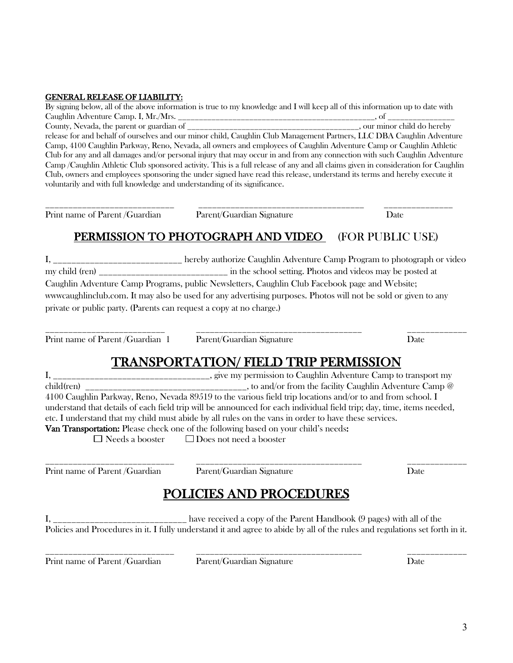## GENERAL RELEASE OF LIABILITY:

By signing below, all of the above information is true to my knowledge and I will keep all of this information up to date with Caughlin Adventure Camp. I, Mr./Mrs. \_\_\_\_\_\_\_\_\_\_\_\_\_\_\_\_\_\_\_\_\_\_\_\_\_\_\_\_\_\_\_\_\_\_\_\_\_\_\_\_\_\_\_\_\_\_\_, of \_\_\_\_\_\_\_\_\_\_\_\_\_\_\_\_ County, Nevada, the parent or guardian of \_\_\_\_\_\_\_\_\_\_\_\_\_\_\_\_\_\_\_\_\_\_\_\_\_\_\_\_\_\_\_\_\_\_\_\_\_\_\_\_\_, our minor child do hereby release for and behalf of ourselves and our minor child, Caughlin Club Management Partners, LLC DBA Caughlin Adventure Camp, 4100 Caughlin Parkway, Reno, Nevada, all owners and employees of Caughlin Adventure Camp or Caughlin Athletic Club for any and all damages and/or personal injury that may occur in and from any connection with such Caughlin Adventure Camp /Caughlin Athletic Club sponsored activity. This is a full release of any and all claims given in consideration for Caughlin Club, owners and employees sponsoring the under signed have read this release, understand its terms and hereby execute it voluntarily and with full knowledge and understanding of its significance.

\_\_\_\_\_\_\_\_\_\_\_\_\_\_\_\_\_\_\_\_\_\_\_\_\_\_\_\_ \_\_\_\_\_\_\_\_\_\_\_\_\_\_\_\_\_\_\_\_\_\_\_\_\_\_\_\_\_\_\_\_\_\_\_\_ \_\_\_\_\_\_\_\_\_\_\_\_\_\_\_ Print name of Parent /Guardian Parent/Guardian Signature Date

# PERMISSION TO PHOTOGRAPH AND VIDEO (FOR PUBLIC USE)

I, \_\_\_\_\_\_\_\_\_\_\_\_\_\_\_\_\_\_\_\_\_\_\_\_\_\_\_\_ hereby authorize Caughlin Adventure Camp Program to photograph or video my child (ren) and in the school setting. Photos and videos may be posted at Caughlin Adventure Camp Programs, public Newsletters, Caughlin Club Facebook page and Website; wwwcaughlinclub.com. It may also be used for any advertising purposes. Photos will not be sold or given to any private or public party. (Parents can request a copy at no charge.)

Print name of Parent /Guardian 1 Parent/Guardian Signature Date

\_\_\_\_\_\_\_\_\_\_\_\_\_\_\_\_\_\_\_\_\_\_\_\_\_\_ \_\_\_\_\_\_\_\_\_\_\_\_\_\_\_\_\_\_\_\_\_\_\_\_\_\_\_\_\_\_\_\_\_\_\_\_ \_\_\_\_\_\_\_\_\_\_\_\_\_

# TRANSPORTATION/ FIELD TRIP PERMISSION<br>I, \_\_\_\_\_\_\_\_\_\_\_\_\_\_\_\_\_\_\_\_\_\_\_\_\_\_\_\_\_\_\_\_\_\_\_, give my permission to Caughlin Adventure Camp to transport my

 $\text{child}(\text{ren})$  \_\_\_\_\_\_\_\_\_\_\_\_\_\_\_\_\_\_\_\_\_\_\_\_\_\_\_\_\_\_\_, to and/or from the facility Caughlin Adventure Camp  $@$ 4100 Caughlin Parkway, Reno, Nevada 89519 to the various field trip locations and/or to and from school. I understand that details of each field trip will be announced for each individual field trip; day, time, items needed, etc. I understand that my child must abide by all rules on the vans in order to have these services. Van Transportation: Please check one of the following based on your child's needs:  $\Box$  Needs a booster  $\Box$  Does not need a booster

\_\_\_\_\_\_\_\_\_\_\_\_\_\_\_\_\_\_\_\_\_\_\_\_\_\_\_\_ \_\_\_\_\_\_\_\_\_\_\_\_\_\_\_\_\_\_\_\_\_\_\_\_\_\_\_\_\_\_\_\_\_\_\_\_ \_\_\_\_\_\_\_\_\_\_\_\_\_ Print name of Parent /Guardian Parent/Guardian Signature Date

# POLICIES AND PROCEDURES

I, have received a copy of the Parent Handbook (9 pages) with all of the Policies and Procedures in it. I fully understand it and agree to abide by all of the rules and regulations set forth in it.

Print name of Parent /Guardian Parent/Guardian Signature Date

\_\_\_\_\_\_\_\_\_\_\_\_\_\_\_\_\_\_\_\_\_\_\_\_\_\_\_\_ \_\_\_\_\_\_\_\_\_\_\_\_\_\_\_\_\_\_\_\_\_\_\_\_\_\_\_\_\_\_\_\_\_\_\_\_ \_\_\_\_\_\_\_\_\_\_\_\_\_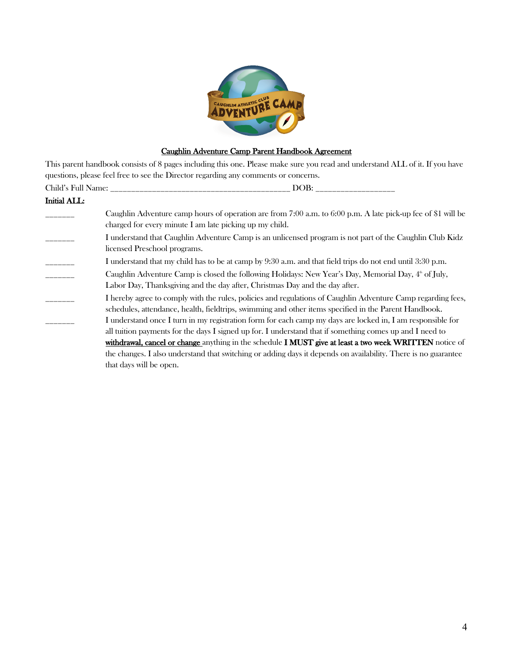

# Caughlin Adventure Camp Parent Handbook Agreement

This parent handbook consists of 8 pages including this one. Please make sure you read and understand ALL of it. If you have questions, please feel free to see the Director regarding any comments or concerns.

|              | DOB:                                                                                                                                                                                                                   |  |  |  |
|--------------|------------------------------------------------------------------------------------------------------------------------------------------------------------------------------------------------------------------------|--|--|--|
| Initial ALL: |                                                                                                                                                                                                                        |  |  |  |
|              | Caughlin Adventure camp hours of operation are from 7:00 a.m. to 6:00 p.m. A late pick-up fee of \$1 will be<br>charged for every minute I am late picking up my child.                                                |  |  |  |
|              | I understand that Caughlin Adventure Camp is an unlicensed program is not part of the Caughlin Club Kidz<br>licensed Preschool programs.                                                                               |  |  |  |
|              | I understand that my child has to be at camp by 9:30 a.m. and that field trips do not end until 3:30 p.m.                                                                                                              |  |  |  |
|              | Caughlin Adventure Camp is closed the following Holidays: New Year's Day, Memorial Day, $4^{\circ}$ of July,<br>Labor Day, Thanksgiving and the day after, Christmas Day and the day after.                            |  |  |  |
|              | I hereby agree to comply with the rules, policies and regulations of Caughlin Adventure Camp regarding fees,<br>schedules, attendance, health, fieldtrips, swimming and other items specified in the Parent Handbook.  |  |  |  |
|              | I understand once I turn in my registration form for each camp my days are locked in, I am responsible for<br>all tuition payments for the days I signed up for. I understand that if something comes up and I need to |  |  |  |
|              | withdrawal, cancel or change anything in the schedule I MUST give at least a two week WRITTEN notice of                                                                                                                |  |  |  |
|              | the changes. I also understand that switching or adding days it depends on availability. There is no guarantee                                                                                                         |  |  |  |
|              | that days will be open.                                                                                                                                                                                                |  |  |  |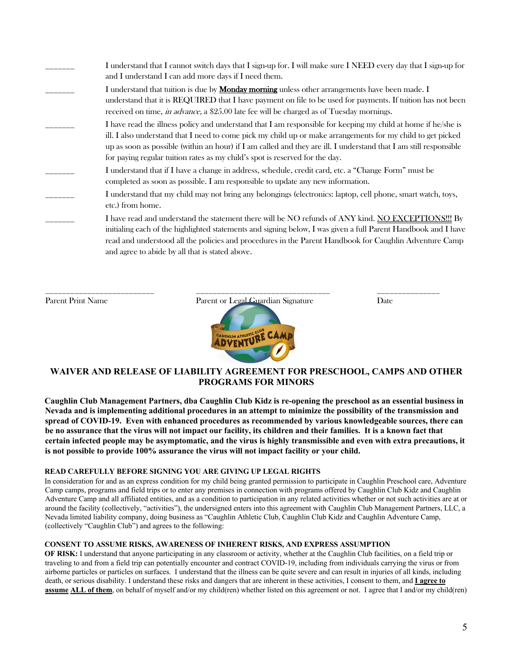| I understand that I cannot switch days that I sign-up for. I will make sure I NEED every day that I sign-up for<br>and I understand I can add more days if I need them.                                                                                                                                                                                                                                                           |
|-----------------------------------------------------------------------------------------------------------------------------------------------------------------------------------------------------------------------------------------------------------------------------------------------------------------------------------------------------------------------------------------------------------------------------------|
| I understand that tuition is due by <b>Monday morning</b> unless other arrangements have been made. I<br>understand that it is REQUIRED that I have payment on file to be used for payments. If tuition has not been<br>received on time, <i>in advance</i> , a \$25.00 late fee will be charged as of Tuesday mornings.                                                                                                          |
| I have read the illness policy and understand that I am responsible for keeping my child at home if he/she is<br>ill. I also understand that I need to come pick my child up or make arrangements for my child to get picked<br>up as soon as possible (within an hour) if I am called and they are ill. I understand that I am still responsible<br>for paying regular tuition rates as my child's spot is reserved for the day. |
| I understand that if I have a change in address, schedule, credit card, etc. a "Change Form" must be<br>completed as soon as possible. I am responsible to update any new information.                                                                                                                                                                                                                                            |
| I understand that my child may not bring any belongings (electronics: laptop, cell phone, smart watch, toys,<br>etc.) from home.                                                                                                                                                                                                                                                                                                  |
| I have read and understand the statement there will be NO refunds of ANY kind. NO EXCEPTIONS!!! By<br>initialing each of the highlighted statements and signing below, I was given a full Parent Handbook and I have<br>read and understood all the policies and procedures in the Parent Handbook for Caughlin Adventure Camp<br>and agree to abide by all that is stated above.                                                 |

Parent Print Name Parent or Legal Guardian Signature Date

\_\_\_\_\_\_\_\_\_\_\_\_\_\_\_\_\_\_\_\_\_\_\_\_\_\_ \_\_\_\_\_\_\_\_\_\_\_\_\_\_\_\_\_\_\_\_\_\_\_\_\_\_\_\_\_\_\_\_ \_\_\_\_\_\_\_\_\_\_\_\_\_\_\_

# **WAIVER AND RELEASE OF LIABILITY AGREEMENT FOR PRESCHOOL, CAMPS AND OTHER PROGRAMS FOR MINORS**

**Caughlin Club Management Partners, dba Caughlin Club Kidz is re-opening the preschool as an essential business in Nevada and is implementing additional procedures in an attempt to minimize the possibility of the transmission and spread of COVID-19. Even with enhanced procedures as recommended by various knowledgeable sources, there can be no assurance that the virus will not impact our facility, its children and their families. It is a known fact that certain infected people may be asymptomatic, and the virus is highly transmissible and even with extra precautions, it is not possible to provide 100% assurance the virus will not impact facility or your child.** 

## **READ CAREFULLY BEFORE SIGNING YOU ARE GIVING UP LEGAL RIGHTS**

In consideration for and as an express condition for my child being granted permission to participate in Caughlin Preschool care, Adventure Camp camps, programs and field trips or to enter any premises in connection with programs offered by Caughlin Club Kidz and Caughlin Adventure Camp and all affiliated entities, and as a condition to participation in any related activities whether or not such activities are at or around the facility (collectively, "activities"), the undersigned enters into this agreement with Caughlin Club Management Partners, LLC, a Nevada limited liability company, doing business as "Caughlin Athletic Club, Caughlin Club Kidz and Caughlin Adventure Camp, (collectively "Caughlin Club") and agrees to the following:

### **CONSENT TO ASSUME RISKS, AWARENESS OF INHERENT RISKS, AND EXPRESS ASSUMPTION**

**OF RISK:** I understand that anyone participating in any classroom or activity, whether at the Caughlin Club facilities, on a field trip or traveling to and from a field trip can potentially encounter and contract COVID-19, including from individuals carrying the virus or from airborne particles or particles on surfaces. I understand that the illness can be quite severe and can result in injuries of all kinds, including death, or serious disability. I understand these risks and dangers that are inherent in these activities, I consent to them, and **I agree to assume ALL of them**, on behalf of myself and/or my child(ren) whether listed on this agreement or not. I agree that I and/or my child(ren)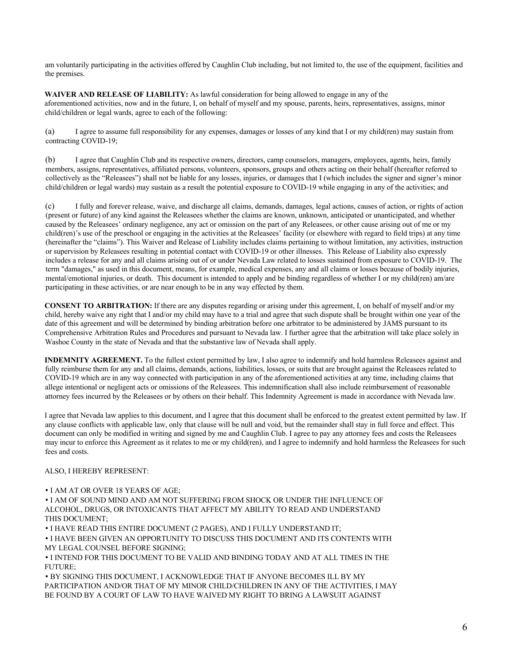am voluntarily participating in the activities offered by Caughlin Club including, but not limited to, the use of the equipment, facilities and the premises.

**WAIVER AND RELEASE OF LIABILITY:** As lawful consideration for being allowed to engage in any of the aforementioned activities, now and in the future, I, on behalf of myself and my spouse, parents, heirs, representatives, assigns, minor child/children or legal wards, agree to each of the following:

(a) I agree to assume full responsibility for any expenses, damages or losses of any kind that I or my child(ren) may sustain from contracting COVID-19;

(b) I agree that Caughlin Club and its respective owners, directors, camp counselors, managers, employees, agents, heirs, family members, assigns, representatives, affiliated persons, volunteers, sponsors, groups and others acting on their behalf (hereafter referred to collectively as the "Releasees") shall not be liable for any losses, injuries, or damages that I (which includes the signer and signer's minor child/children or legal wards) may sustain as a result the potential exposure to COVID-19 while engaging in any of the activities; and

(c) I fully and forever release, waive, and discharge all claims, demands, damages, legal actions, causes of action, or rights of action (present or future) of any kind against the Releasees whether the claims are known, unknown, anticipated or unanticipated, and whether caused by the Releasees' ordinary negligence, any act or omission on the part of any Releasees, or other cause arising out of me or my child(ren)'s use of the preschool or engaging in the activities at the Releasees' facility (or elsewhere with regard to field trips) at any time (hereinafter the "claims"). This Waiver and Release of Liability includes claims pertaining to without limitation, any activities, instruction or supervision by Releasees resulting in potential contact with COVID-19 or other illnesses. This Release of Liability also expressly includes a release for any and all claims arising out of or under Nevada Law related to losses sustained from exposure to COVID-19. The term "damages," as used in this document, means, for example, medical expenses, any and all claims or losses because of bodily injuries, mental/emotional injuries, or death. This document is intended to apply and be binding regardless of whether I or my child(ren) am/are participating in these activities, or are near enough to be in any way effected by them.

**CONSENT TO ARBITRATION:** If there are any disputes regarding or arising under this agreement, I, on behalf of myself and/or my child, hereby waive any right that I and/or my child may have to a trial and agree that such dispute shall be brought within one year of the date of this agreement and will be determined by binding arbitration before one arbitrator to be administered by JAMS pursuant to its Comprehensive Arbitration Rules and Procedures and pursuant to Nevada law. I further agree that the arbitration will take place solely in Washoe County in the state of Nevada and that the substantive law of Nevada shall apply.

**INDEMNITY AGREEMENT.** To the fullest extent permitted by law, I also agree to indemnify and hold harmless Releasees against and fully reimburse them for any and all claims, demands, actions, liabilities, losses, or suits that are brought against the Releasees related to COVID-19 which are in any way connected with participation in any of the aforementioned activities at any time, including claims that allege intentional or negligent acts or omissions of the Releasees. This indemnification shall also include reimbursement of reasonable attorney fees incurred by the Releasees or by others on their behalf. This Indemnity Agreement is made in accordance with Nevada law.

I agree that Nevada law applies to this document, and I agree that this document shall be enforced to the greatest extent permitted by law. If any clause conflicts with applicable law, only that clause will be null and void, but the remainder shall stay in full force and effect. This document can only be modified in writing and signed by me and Caughlin Club. I agree to pay any attorney fees and costs the Releasees may incur to enforce this Agreement as it relates to me or my child(ren), and I agree to indemnify and hold harmless the Releasees for such fees and costs.

### ALSO, I HEREBY REPRESENT:

#### • I AM AT OR OVER 18 YEARS OF AGE;

• I AM OF SOUND MIND AND AM NOT SUFFERING FROM SHOCK OR UNDER THE INFLUENCE OF ALCOHOL, DRUGS, OR INTOXICANTS THAT AFFECT MY ABILITY TO READ AND UNDERSTAND THIS DOCUMENT;

• I HAVE READ THIS ENTIRE DOCUMENT (2 PAGES), AND I FULLY UNDERSTAND IT;

• I HAVE BEEN GIVEN AN OPPORTUNITY TO DISCUSS THIS DOCUMENT AND ITS CONTENTS WITH MY LEGAL COUNSEL BEFORE SIGNING;

• I INTEND FOR THIS DOCUMENT TO BE VALID AND BINDING TODAY AND AT ALL TIMES IN THE FUTURE;

• BY SIGNING THIS DOCUMENT, I ACKNOWLEDGE THAT IF ANYONE BECOMES ILL BY MY PARTICIPATION AND/OR THAT OF MY MINOR CHILD/CHILDREN IN ANY OF THE ACTIVITIES, I MAY BE FOUND BY A COURT OF LAW TO HAVE WAIVED MY RIGHT TO BRING A LAWSUIT AGAINST